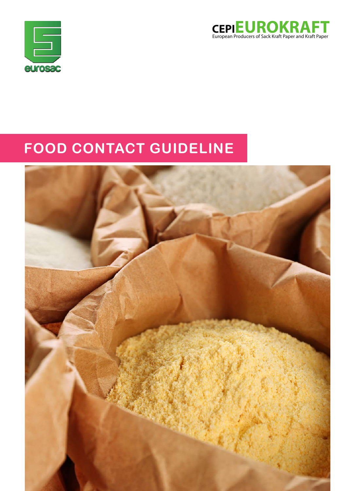



# **FOOD CONTACT GUIDELINE**

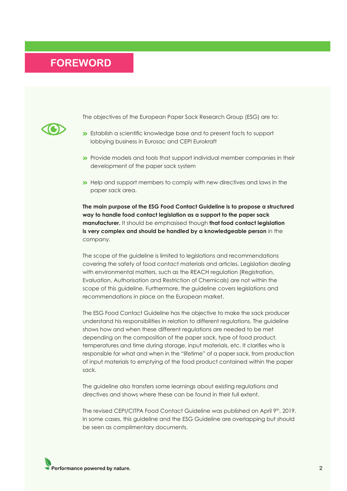### <span id="page-1-0"></span>**FOREWORD**



The objectives of the European Paper Sack Research Group (ESG) are to:

- Establish a scientific knowledge base and to present facts to support lobbying business in Eurosac and CEPI Eurokraft
- Provide models and tools that support individual member companies in their development of the paper sack system
- Help and support members to comply with new directives and laws in the paper sack area.

**The main purpose of the ESG Food Contact Guideline is to propose a structured way to handle food contact legislation as a support to the paper sack manufacturer.** It should be emphasised though **that food contact legislation is very complex and should be handled by a knowledgeable person** in the company.

The scope of the guideline is limited to legislations and recommendations covering the safety of food contact materials and articles. Legislation dealing with environmental matters, such as the REACH regulation (Registration, Evaluation, Authorisation and Restriction of Chemicals) are not within the scope of this guideline. Furthermore, the guideline covers legislations and recommendations in place on the European market.

The ESG Food Contact Guideline has the objective to make the sack producer understand his responsibilities in relation to different regulations. The guideline shows how and when these different regulations are needed to be met depending on the composition of the paper sack, type of food product, temperatures and time during storage, input materials, etc. It clarifies who is responsible for what and when in the "lifetime" of a paper sack, from production of input materials to emptying of the food product contained within the paper sack.

The guideline also transfers some learnings about existing regulations and directives and shows where these can be found in their full extent.

The revised CEPI/CITPA Food Contact Guideline was published on April 9<sup>th</sup>, 2019. In some cases, this guideline and the ESG Guideline are overlapping but should be seen as complimentary documents.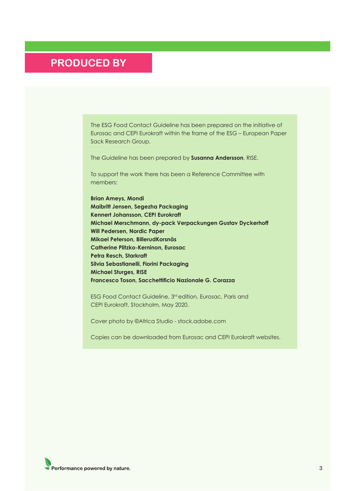### **PRODUCED BY**

The ESG Food Contact Guideline has been prepared on the initiative of Eurosac and CEPI Eurokraft within the frame of the ESG – European Paper Sack Research Group.

The Guideline has been prepared by **Susanna Andersson**, RISE.

To support the work there has been a Reference Committee with members:

**Brian Ameys, Mondi Maibritt Jensen, Segezha Packaging Kennert Johansson, CEPI Eurokraft Michael Merschmann, dy-pack Verpackungen Gustav Dyckerhoff Will Pedersen, Nordic Paper Mikael Peterson, BillerudKorsnäs Catherine Plitzko-Kerninon, Eurosac Petra Resch, Starkraft Silvia Sebastianelli, Fiorini Packaging Michael Sturges, RISE Francesco Toson, Sacchettificio Nazionale G. Corazza**

ESG Food Contact Guideline, 3<sup>rd</sup> edition, Eurosac, Paris and CEPI Eurokraft, Stockholm, May 2020.

Cover photo by ©Africa Studio - stock.adobe.com

Copies can be downloaded from Eurosac and CEPI Eurokraft websites.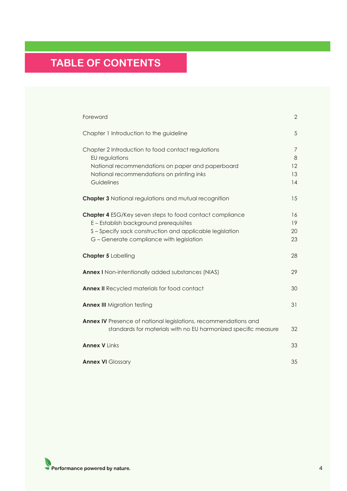# **TABLE OF CONTENTS**

| Foreword                                                                                                                                                                                                        | $\overline{2}$           |
|-----------------------------------------------------------------------------------------------------------------------------------------------------------------------------------------------------------------|--------------------------|
| Chapter 1 Introduction to the guideline                                                                                                                                                                         | 5                        |
| Chapter 2 Introduction to food contact regulations<br>EU regulations<br>National recommendations on paper and paperboard<br>National recommendations on printing inks<br>Guidelines                             | 7<br>8<br>12<br>13<br>14 |
| <b>Chapter 3</b> National regulations and mutual recognition                                                                                                                                                    | 15                       |
| <b>Chapter 4</b> ESG/Key seven steps to food contact compliance<br>E - Establish background prerequisites<br>S-Specify sack construction and applicable legislation<br>G - Generate compliance with legislation | 16<br>19<br>20<br>23     |
| <b>Chapter 5 Labelling</b>                                                                                                                                                                                      | 28                       |
| <b>Annex I</b> Non-intentionally added substances (NIAS)                                                                                                                                                        | 29                       |
| <b>Annex II</b> Recycled materials for food contact                                                                                                                                                             | 30                       |
| <b>Annex III</b> Migration testing                                                                                                                                                                              | 31                       |
| <b>Annex IV</b> Presence of national legislations, recommendations and<br>standards for materials with no EU harmonized specific measure                                                                        | 32                       |
| <b>Annex V Links</b>                                                                                                                                                                                            | 33                       |
| <b>Annex VI Glossary</b>                                                                                                                                                                                        | 35                       |

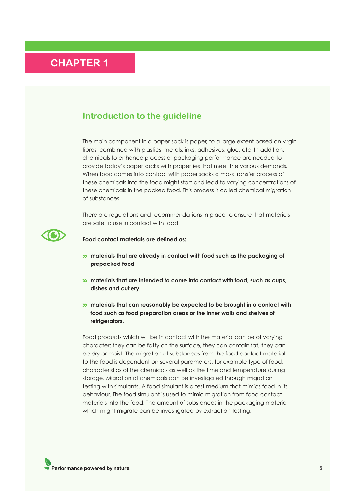### <span id="page-4-0"></span>**Introduction to the guideline**

The main component in a paper sack is paper, to a large extent based on virgin fibres, combined with plastics, metals, inks, adhesives, glue, etc. In addition, chemicals to enhance process or packaging performance are needed to provide today's paper sacks with properties that meet the various demands. When food comes into contact with paper sacks a mass transfer process of these chemicals into the food might start and lead to varying concentrations of these chemicals in the packed food. This process is called chemical migration of substances.

There are regulations and recommendations in place to ensure that materials are safe to use in contact with food.



**Food contact materials are defined as:**

- **»** materials that are already in contact with food such as the packaging of **prepacked food**
- **»** materials that are intended to come into contact with food, such as cups, **dishes and cutlery**
- **»** materials that can reasonably be expected to be brought into contact with **food such as food preparation areas or the inner walls and shelves of refrigerators.**

Food products which will be in contact with the material can be of varying character: they can be fatty on the surface, they can contain fat, they can be dry or moist. The migration of substances from the food contact material to the food is dependent on several parameters, for example type of food, characteristics of the chemicals as well as the time and temperature during storage. Migration of chemicals can be investigated through migration testing with simulants. A food simulant is a test medium that mimics food in its behaviour. The food simulant is used to mimic migration from food contact materials into the food. The amount of substances in the packaging material which might migrate can be investigated by extraction testing.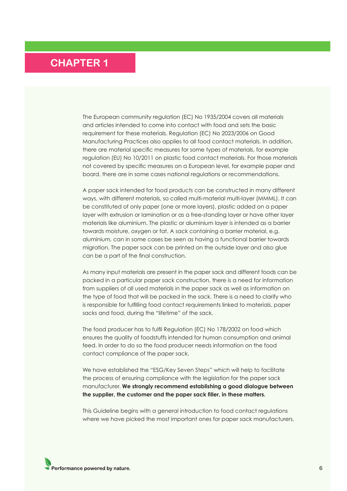The European community regulation (EC) No 1935/2004 covers all materials and articles intended to come into contact with food and sets the basic requirement for these materials. Regulation (EC) No 2023/2006 on Good Manufacturing Practices also applies to all food contact materials. In addition, there are material specific measures for some types of materials, for example regulation (EU) No 10/2011 on plastic food contact materials. For those materials not covered by specific measures on a European level, for example paper and board, there are in some cases national regulations or recommendations.

A paper sack intended for food products can be constructed in many different ways, with different materials, so called multi-material multi-layer (MMML). It can be constituted of only paper (one or more layers), plastic added on a paper layer with extrusion or lamination or as a free-standing layer or have other layer materials like aluminium. The plastic or aluminium layer is intended as a barrier towards moisture, oxygen or fat. A sack containing a barrier material, e.g. aluminium, can in some cases be seen as having a functional barrier towards migration. The paper sack can be printed on the outside layer and also glue can be a part of the final construction.

As many input materials are present in the paper sack and different foods can be packed in a particular paper sack construction, there is a need for information from suppliers of all used materials in the paper sack as well as information on the type of food that will be packed in the sack. There is a need to clarify who is responsible for fulfilling food contact requirements linked to materials, paper sacks and food, during the "lifetime" of the sack.

The food producer has to fulfil Regulation (EC) No 178/2002 on food which ensures the quality of foodstuffs intended for human consumption and animal feed. In order to do so the food producer needs information on the food contact compliance of the paper sack.

We have established the "ESG/Key Seven Steps" which will help to facilitate the process of ensuring compliance with the legislation for the paper sack manufacturer. **We strongly recommend establishing a good dialogue between the supplier, the customer and the paper sack filler, in these matters.**

This Guideline begins with a general introduction to food contact regulations where we have picked the most important ones for paper sack manufacturers.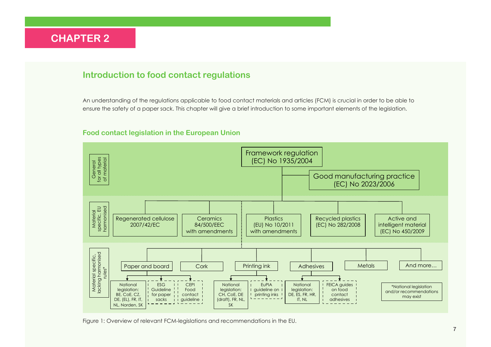### <span id="page-6-0"></span>**Introduction to food contact regulations**

An understanding of the regulations applicable to food contact materials and articles (FCM) is crucial in order to be able to ensure the safety of a paper sack. This chapter will give a brief introduction to some important elements of the legislation.

### **Food contact legislation in the European Union**



Figure 1: Overview of relevant FCM-legislations and recommendations in the EU.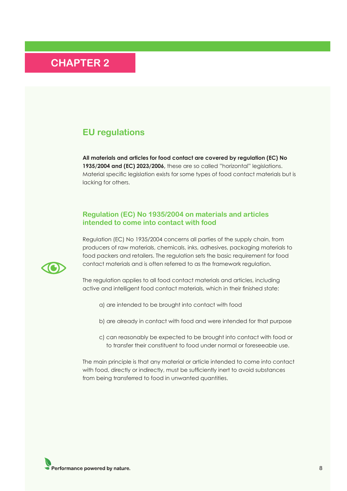### <span id="page-7-0"></span>**EU regulations**

**All materials and articles for food contact are covered by regulation (EC) No 1935/2004 and (EC) 2023/2006,** these are so called "horizontal" legislations. Material specific legislation exists for some types of food contact materials but is lacking for others.

### **Regulation (EC) No 1935/2004 on materials and articles intended to come into contact with food**

Regulation (EC) No 1935/2004 concerns all parties of the supply chain, from producers of raw materials, chemicals, inks, adhesives, packaging materials to food packers and retailers. The regulation sets the basic requirement for food contact materials and is often referred to as the framework regulation.



The regulation applies to all food contact materials and articles, including active and intelligent food contact materials, which in their finished state:

- a) are intended to be brought into contact with food
- b) are already in contact with food and were intended for that purpose
- c) can reasonably be expected to be brought into contact with food or to transfer their constituent to food under normal or foreseeable use.

The main principle is that any material or article intended to come into contact with food, directly or indirectly, must be sufficiently inert to avoid substances from being transferred to food in unwanted quantities.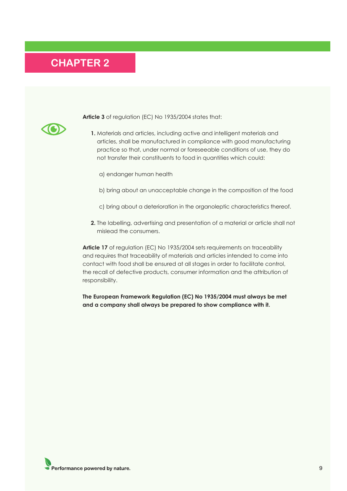

**Article 3** of regulation (EC) No 1935/2004 states that:

- **1.** Materials and articles, including active and intelligent materials and articles, shall be manufactured in compliance with good manufacturing practice so that, under normal or foreseeable conditions of use, they do not transfer their constituents to food in quantities which could:
	- a) endanger human health
	- b) bring about an unacceptable change in the composition of the food
	- c) bring about a deterioration in the organoleptic characteristics thereof.
- **2.** The labelling, advertising and presentation of a material or article shall not mislead the consumers.

**Article 17** of regulation (EC) No 1935/2004 sets requirements on traceability and requires that traceability of materials and articles intended to come into contact with food shall be ensured at all stages in order to facilitate control, the recall of defective products, consumer information and the attribution of responsibility.

**The European Framework Regulation (EC) No 1935/2004 must always be met and a company shall always be prepared to show compliance with it.**

Performance powered by nature.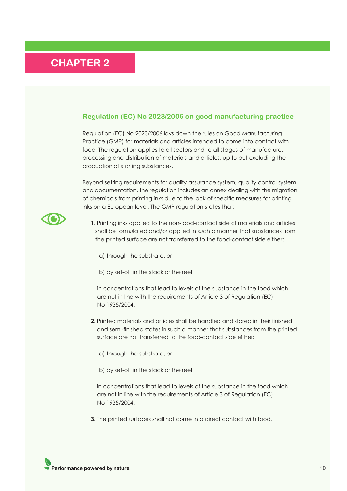### **Regulation (EC) No 2023/2006 on good manufacturing practice**

Regulation (EC) No 2023/2006 lays down the rules on Good Manufacturing Practice (GMP) for materials and articles intended to come into contact with food. The regulation applies to all sectors and to all stages of manufacture, processing and distribution of materials and articles, up to but excluding the production of starting substances.

Beyond setting requirements for quality assurance system, quality control system and documentation, the regulation includes an annex dealing with the migration of chemicals from printing inks due to the lack of specific measures for printing inks on a European level. The GMP regulation states that:



**1.** Printing inks applied to the non-food-contact side of materials and articles shall be formulated and/or applied in such a manner that substances from the printed surface are not transferred to the food-contact side either:

- a) through the substrate, or
- b) by set-off in the stack or the reel

in concentrations that lead to levels of the substance in the food which are not in line with the requirements of Article 3 of Regulation (EC) No 1935/2004.

- **2.** Printed materials and articles shall be handled and stored in their finished and semi-finished states in such a manner that substances from the printed surface are not transferred to the food-contact side either:
	- a) through the substrate, or
	- b) by set-off in the stack or the reel

in concentrations that lead to levels of the substance in the food which are not in line with the requirements of Article 3 of Regulation (EC) No 1935/2004.

**3.** The printed surfaces shall not come into direct contact with food.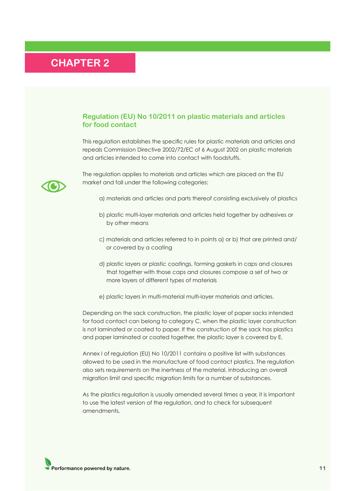### **Regulation (EU) No 10/2011 on plastic materials and articles for food contact**

This regulation establishes the specific rules for plastic materials and articles and repeals Commission Directive 2002/72/EC of 6 August 2002 on plastic materials and articles intended to come into contact with foodstuffs.



The regulation applies to materials and articles which are placed on the EU market and fall under the following categories:

- a) materials and articles and parts thereof consisting exclusively of plastics
- b) plastic multi-layer materials and articles held together by adhesives or by other means
- c) materials and articles referred to in points a) or b) that are printed and/ or covered by a coating
- d) plastic layers or plastic coatings, forming gaskets in caps and closures that together with those caps and closures compose a set of two or more layers of different types of materials
- e) plastic layers in multi-material multi-layer materials and articles.

Depending on the sack construction, the plastic layer of paper sacks intended for food contact can belong to category C, when the plastic layer construction is not laminated or coated to paper. If the construction of the sack has plastics and paper laminated or coated together, the plastic layer is covered by E.

Annex I of regulation (EU) No 10/2011 contains a positive list with substances allowed to be used in the manufacture of food contact plastics. The regulation also sets requirements on the inertness of the material, introducing an overall migration limit and specific migration limits for a number of substances.

As the plastics regulation is usually amended several times a year, it is important to use the latest version of the regulation, and to check for subsequent amendments.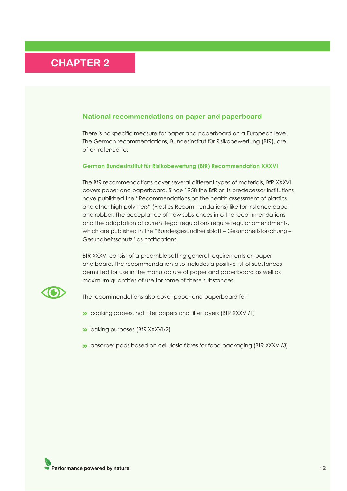### <span id="page-11-0"></span>**National recommendations on paper and paperboard**

There is no specific measure for paper and paperboard on a European level. The German recommendations, Bundesinstitut für Risikobewertung (BfR), are often referred to.

#### **German Bundesinstitut für Risikobewertung (BfR) Recommendation XXXVI**

The BfR recommendations cover several different types of materials, BfR XXXVI covers paper and paperboard. Since 1958 the BfR or its predecessor institutions have published the "Recommendations on the health assessment of plastics and other high polymers" (Plastics Recommendations) like for instance paper and rubber. The acceptance of new substances into the recommendations and the adaptation of current legal regulations require regular amendments, which are published in the "Bundesgesundheitsblatt – Gesundheitsforschung – Gesundheitsschutz" as notifications.

BfR XXXVI consist of a preamble setting general requirements on paper and board. The recommendation also includes a positive list of substances permitted for use in the manufacture of paper and paperboard as well as maximum quantities of use for some of these substances.



The recommendations also cover paper and paperboard for:

- **>>** cooking papers, hot filter papers and filter layers (BfR XXXVI/1)
- **b** baking purposes (BfR XXXVI/2)
- **»** absorber pads based on cellulosic fibres for food packaging (BfR XXXVI/3).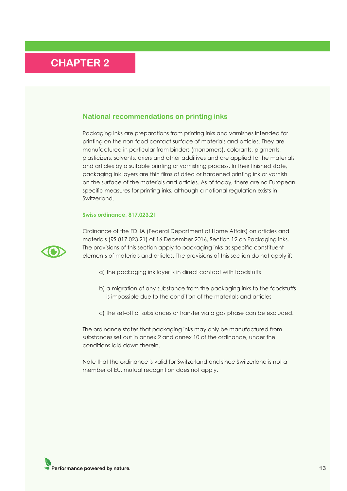### <span id="page-12-0"></span>**National recommendations on printing inks**

Packaging inks are preparations from printing inks and varnishes intended for printing on the non-food contact surface of materials and articles. They are manufactured in particular from binders (monomers), colorants, pigments, plasticizers, solvents, driers and other additives and are applied to the materials and articles by a suitable printing or varnishing process. In their finished state, packaging ink layers are thin films of dried or hardened printing ink or varnish on the surface of the materials and articles. As of today, there are no European specific measures for printing inks, although a national regulation exists in Switzerland.

#### **Swiss ordinance, 817.023.21**



Ordinance of the FDHA (Federal Department of Home Affairs) on articles and materials (RS 817.023.21) of 16 December 2016, Section 12 on Packaging inks. The provisions of this section apply to packaging inks as specific constituent elements of materials and articles. The provisions of this section do not apply if:

- a) the packaging ink layer is in direct contact with foodstuffs
- b) a migration of any substance from the packaging inks to the foodstuffs is impossible due to the condition of the materials and articles
- c) the set-off of substances or transfer via a gas phase can be excluded.

The ordinance states that packaging inks may only be manufactured from substances set out in annex 2 and annex 10 of the ordinance, under the conditions laid down therein.

Note that the ordinance is valid for Switzerland and since Switzerland is not a member of EU, mutual recognition does not apply.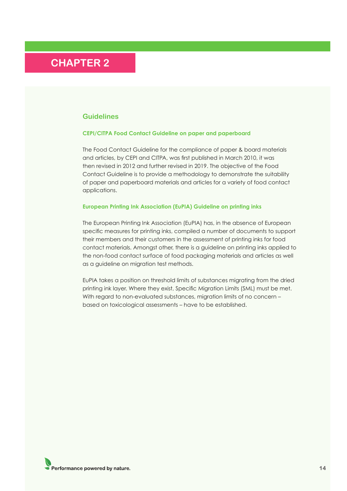#### <span id="page-13-0"></span>**Guidelines**

#### **CEPI/CITPA Food Contact Guideline on paper and paperboard**

The Food Contact Guideline for the compliance of paper & board materials and articles, by CEPI and CITPA, was first published in March 2010, it was then revised in 2012 and further revised in 2019. The objective of the Food Contact Guideline is to provide a methodology to demonstrate the suitability of paper and paperboard materials and articles for a variety of food contact applications.

#### **European Printing Ink Association (EuPIA) Guideline on printing inks**

The European Printing Ink Association (EuPIA) has, in the absence of European specific measures for printing inks, compiled a number of documents to support their members and their customers in the assessment of printing inks for food contact materials. Amongst other, there is a guideline on printing inks applied to the non-food contact surface of food packaging materials and articles as well as a guideline on migration test methods.

EuPIA takes a position on threshold limits of substances migrating from the dried printing ink layer. Where they exist, Specific Migration Limits (SML) must be met. With regard to non-evaluated substances, migration limits of no concern based on toxicological assessments – have to be established.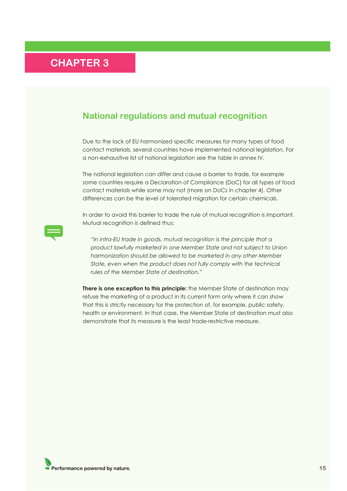### <span id="page-14-0"></span>**National regulations and mutual recognition**

Due to the lack of EU harmonized specific measures for many types of food contact materials, several countries have implemented national legislation. For a non-exhaustive list of national legislation see the table in annex IV.

The national legislation can differ and cause a barrier to trade, for example some countries require a Declaration of Compliance (DoC) for all types of food contact materials while some may not (more on DoCs in chapter 4). Other differences can be the level of tolerated migration for certain chemicals.

In order to avoid this barrier to trade the rule of mutual recognition is important. Mutual recognition is defined thus:



**There is one exception to this principle:** the Member State of destination may refuse the marketing of a product in its current form only where it can show that this is strictly necessary for the protection of, for example, public safety, health or environment. In that case, the Member State of destination must also demonstrate that its measure is the least trade-restrictive measure.

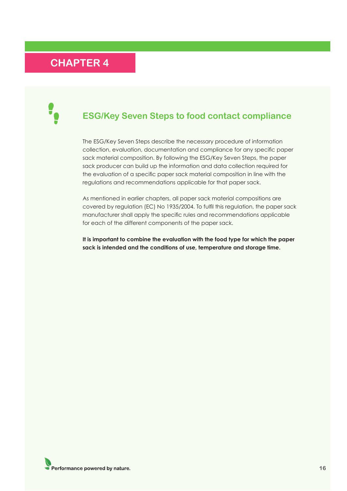<span id="page-15-0"></span>

### **ESG/Key Seven Steps to food contact compliance**

The ESG/Key Seven Steps describe the necessary procedure of information collection, evaluation, documentation and compliance for any specific paper sack material composition. By following the ESG/Key Seven Steps, the paper sack producer can build up the information and data collection required for the evaluation of a specific paper sack material composition in line with the regulations and recommendations applicable for that paper sack.

As mentioned in earlier chapters, all paper sack material compositions are covered by regulation (EC) No 1935/2004. To fulfil this regulation, the paper sack manufacturer shall apply the specific rules and recommendations applicable for each of the different components of the paper sack.

**It is important to combine the evaluation with the food type for which the paper sack is intended and the conditions of use, temperature and storage time.**

Performance powered by nature.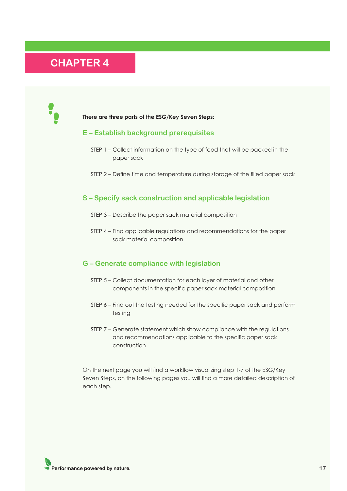

#### **There are three parts of the ESG/Key Seven Steps:**

#### **E – Establish background prerequisites**

- STEP 1 Collect information on the type of food that will be packed in the paper sack
- STEP 2 Define time and temperature during storage of the filled paper sack

### **S – Specify sack construction and applicable legislation**

- STEP 3 Describe the paper sack material composition
- STEP 4 Find applicable regulations and recommendations for the paper sack material composition

#### **G – Generate compliance with legislation**

- STEP 5 Collect documentation for each layer of material and other components in the specific paper sack material composition
- STEP 6 Find out the testing needed for the specific paper sack and perform testing
- STEP 7 Generate statement which show compliance with the regulations and recommendations applicable to the specific paper sack construction

On the next page you will find a workflow visualizing step 1-7 of the ESG/Key Seven Steps, on the following pages you will find a more detailed description of each step.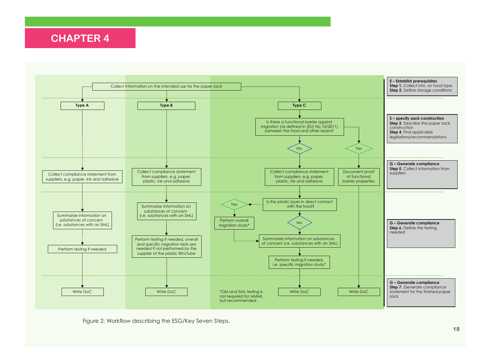

Figure 2: Workflow describing the ESG/Key Seven Steps.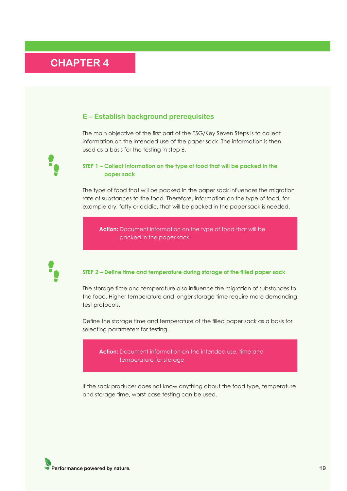#### <span id="page-18-0"></span>**E – Establish background prerequisites**

The main objective of the first part of the ESG/Key Seven Steps is to collect information on the intended use of the paper sack. The information is then used as a basis for the testing in step 6.

#### **STEP 1 – Collect information on the type of food that will be packed in the paper sack**

The type of food that will be packed in the paper sack influences the migration rate of substances to the food. Therefore, information on the type of food, for example dry, fatty or acidic, that will be packed in the paper sack is needed.

**Action:** Document information on the type of food that will be packed in the paper sack



#### **STEP 2 – Define time and temperature during storage of the filled paper sack**

The storage time and temperature also influence the migration of substances to the food. Higher temperature and longer storage time require more demanding test protocols.

Define the storage time and temperature of the filled paper sack as a basis for selecting parameters for testing.

**Action:** Document information on the intended use, time and temperature for storage

If the sack producer does not know anything about the food type, temperature and storage time, worst-case testing can be used.

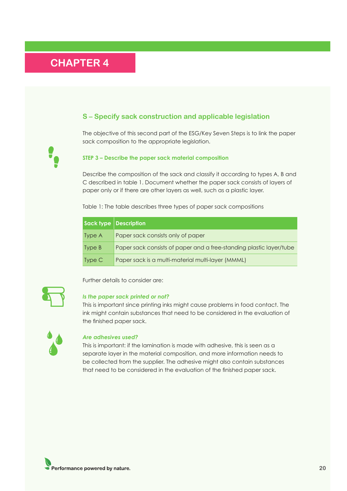### <span id="page-19-0"></span>**S – Specify sack construction and applicable legislation**

The objective of this second part of the ESG/Key Seven Steps is to link the paper sack composition to the appropriate legislation.

#### **STEP 3 – Describe the paper sack material composition**

Describe the composition of the sack and classify it according to types A, B and C described in table 1. Document whether the paper sack consists of layers of paper only or if there are other layers as well, such as a plastic layer.

Table 1: The table describes three types of paper sack compositions

|        | Sack type Description                                               |
|--------|---------------------------------------------------------------------|
| Type A | Paper sack consists only of paper                                   |
| Type B | Paper sack consists of paper and a free-standing plastic layer/tube |
| Type C | Paper sack is a multi-material multi-layer (MMML)                   |

### Further details to consider are:

#### *Is the paper sack printed or not?*

This is important since printing inks might cause problems in food contact. The ink might contain substances that need to be considered in the evaluation of the finished paper sack.



#### *Are adhesives used?*

This is important: if the lamination is made with adhesive, this is seen as a separate layer in the material composition, and more information needs to be collected from the supplier. The adhesive might also contain substances that need to be considered in the evaluation of the finished paper sack.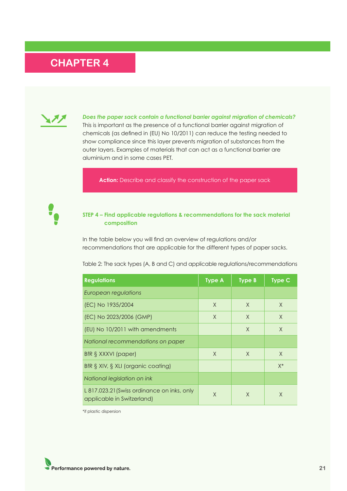

*Does the paper sack contain a functional barrier against migration of chemicals?* This is important as the presence of a functional barrier against migration of chemicals (as defined in (EU) No 10/2011) can reduce the testing needed to show compliance since this layer prevents migration of substances from the outer layers. Examples of materials that can act as a functional barrier are aluminium and in some cases PET.

**Action:** Describe and classify the construction of the paper sack



#### **STEP 4 – Find applicable regulations & recommendations for the sack material composition**

In the table below you will find an overview of regulations and/or recommendations that are applicable for the different types of paper sacks.

Table 2: The sack types (A, B and C) and applicable regulations/recommendations

| <b>Regulations</b>                                                        | <b>Type A</b> | <b>Type B</b> | <b>Type C</b> |
|---------------------------------------------------------------------------|---------------|---------------|---------------|
| European regulations                                                      |               |               |               |
| (EC) No 1935/2004                                                         | $\times$      | $\chi$        | $\times$      |
| (EC) No 2023/2006 (GMP)                                                   | X             | $\chi$        | $\times$      |
| (EU) No 10/2011 with amendments                                           |               | X             | $\chi$        |
| National recommendations on paper                                         |               |               |               |
| BfR § XXXVI (paper)                                                       | X             | $\times$      | $\times$      |
| BfR § XIV, § XLI (organic coating)                                        |               |               | $X^*$         |
| National legislation on ink                                               |               |               |               |
| L 817.023.21 (Swiss ordinance on inks, only<br>applicable in Switzerland) | X             | X             | X             |

\*if plastic dispersion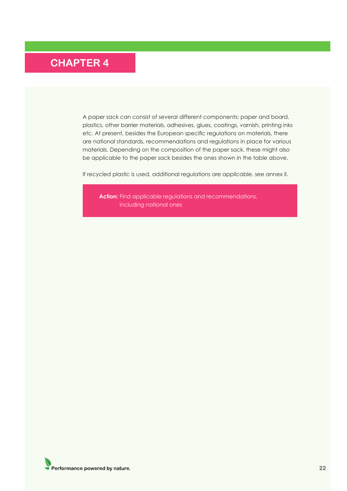A paper sack can consist of several different components: paper and board, plastics, other barrier materials, adhesives, glues, coatings, varnish, printing inks etc. At present, besides the European specific regulations on materials, there are national standards, recommendations and regulations in place for various materials. Depending on the composition of the paper sack, these might also be applicable to the paper sack besides the ones shown in the table above.

If recycled plastic is used, additional regulations are applicable, see annex II.

**Action:** Find applicable regulations and recommendations, including national ones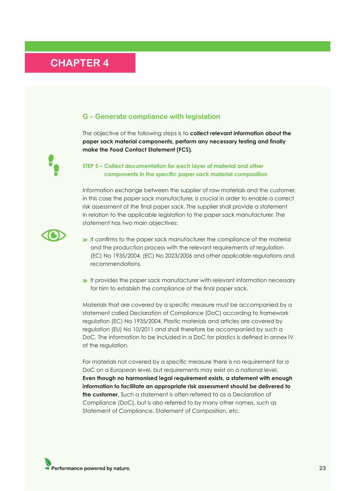### <span id="page-22-0"></span>**G – Generate compliance with legislation**

The objective of the following steps is to **collect relevant information about the paper sack material components, perform any necessary testing and finally make the Food Contact Statement (FCS).**

### **STEP 5 – Collect documentation for each layer of material and other components in the specific paper sack material composition**

Information exchange between the supplier of raw materials and the customer, in this case the paper sack manufacturer, is crucial in order to enable a correct risk assessment of the final paper sack. The supplier shall provide a statement in relation to the applicable legislation to the paper sack manufacturer. The statement has two main objectives:



- It confirms to the paper sack manufacturer the compliance of the material and the production process with the relevant requirements of regulation (EC) No 1935/2004, (EC) No 2023/2006 and other applicable regulations and recommendations.
- **It provides the paper sack manufacturer with relevant information necessary** for him to establish the compliance of the final paper sack.

Materials that are covered by a specific measure must be accompanied by a statement called Declaration of Compliance (DoC) according to framework regulation (EC) No 1935/2004. Plastic materials and articles are covered by regulation (EU) No 10/2011 and shall therefore be accompanied by such a DoC. The information to be included in a DoC for plastics is defined in annex IV of the regulation.

For materials not covered by a specific measure there is no requirement for a DoC on a European level, but requirements may exist on a national level. **Even though no harmonised legal requirement exists, a statement with enough information to facilitate an appropriate risk assessment should be delivered to the customer.** Such a statement is often referred to as a Declaration of Compliance (DoC), but is also referred to by many other names, such as Statement of Compliance, Statement of Composition, etc.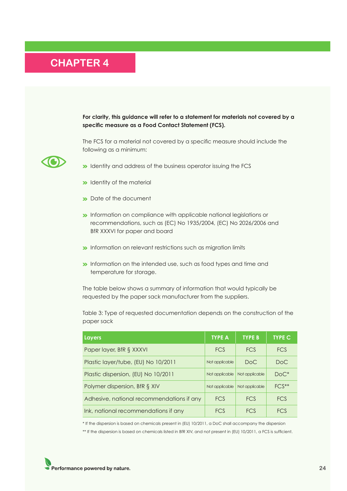**For clarity, this guidance will refer to a statement for materials not covered by a specific measure as a Food Contact Statement (FCS).** 

The FCS for a material not covered by a specific measure should include the following as a minimum:

- **IDENTIFY** dentity and address of the business operator issuing the FCS
- $\rightarrow$  Identity of the material
- **Date of the document**
- **>>** Information on compliance with applicable national legislations or recommendations, such as (EC) No 1935/2004, (EC) No 2026/2006 and BfR XXXVI for paper and board
- **Information on relevant restrictions such as migration limits**
- **Information on the intended use, such as food types and time and** temperature for storage.

The table below shows a summary of information that would typically be requested by the paper sack manufacturer from the suppliers.

Table 3: Type of requested documentation depends on the construction of the paper sack

| <b>Layers</b>                             | <b>TYPE A</b>  | <b>TYPE B</b>  | <b>TYPE C</b> |
|-------------------------------------------|----------------|----------------|---------------|
| Paper layer, BfR § XXXVI                  | <b>FCS</b>     | <b>FCS</b>     | <b>FCS</b>    |
| Plastic layer/tube, (EU) No 10/2011       | Not applicable | DoC            | DoC           |
| Plastic dispersion, (EU) No 10/2011       | Not applicable | Not applicable | $DoC^*$       |
| Polymer dispersion, BfR § XIV             | Not applicable | Not applicable | $FCS^{**}$    |
| Adhesive, national recommendations if any | <b>FCS</b>     | <b>FCS</b>     | <b>FCS</b>    |
| Ink, national recommendations if any      | FCS            | FCS            | FC.S          |

\* If the dispersion is based on chemicals present in (EU) 10/2011, a DoC shall accompany the dispersion

\*\* If the dispersion is based on chemicals listed in BfR XIV, and not present in (EU) 10/2011, a FCS is sufficient.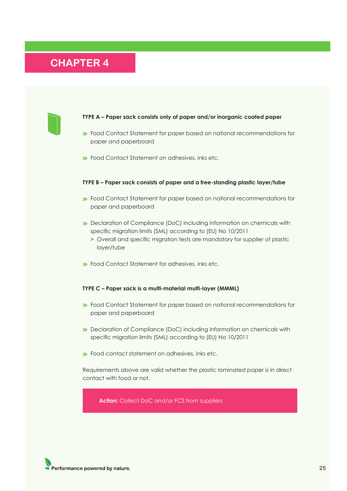

#### **TYPE A – Paper sack consists only of paper and/or inorganic coated paper**

- **>>** Food Contact Statement for paper based on national recommendations for paper and paperboard
- **EXECUTE:** Food Contact Statement on adhesives, inks etc.

#### **TYPE B – Paper sack consists of paper and a free-standing plastic layer/tube**

- **>>** Food Contact Statement for paper based on national recommendations for paper and paperboard
- **Declaration of Compliance (DoC) including information on chemicals with** specific migration limits (SML) according to (EU) No 10/2011
	- > Overall and specific migration tests are mandatory for supplier of plastic layer/tube
- Food Contact Statement for adhesives, inks etc.

#### **TYPE C – Paper sack is a multi-material multi-layer (MMML)**

- **>>** Food Contact Statement for paper based on national recommendations for paper and paperboard
- **Declaration of Compliance (DoC) including information on chemicals with** specific migration limits (SML) according to (EU) No 10/2011
- **>>** Food contact statement on adhesives, inks etc.

Requirements above are valid whether the plastic laminated paper is in direct contact with food or not.

**Action:** Collect DoC and/or FCS from suppliers

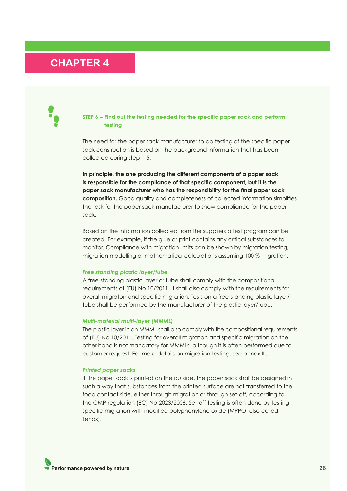#### **STEP 6 – Find out the testing needed for the specific paper sack and perform testing**

The need for the paper sack manufacturer to do testing of the specific paper sack construction is based on the background information that has been collected during step 1-5.

**In principle, the one producing the different components of a paper sack is responsible for the compliance of that specific component, but it is the paper sack manufacturer who has the responsibility for the final paper sack composition.** Good quality and completeness of collected information simplifies the task for the paper sack manufacturer to show compliance for the paper sack.

Based on the information collected from the suppliers a test program can be created. For example, if the glue or print contains any critical substances to monitor. Compliance with migration limits can be shown by migration testing, migration modelling or mathematical calculations assuming 100 % migration.

#### *Free standing plastic layer/tube*

A free-standing plastic layer or tube shall comply with the compositional requirements of (EU) No 10/2011. It shall also comply with the requirements for overall migraton and specific migration. Tests on a free-standing plastic layer/ tube shall be performed by the manufacturer of the plastic layer/tube.

#### *Multi-material multi-layer (MMML)*

The plastic layer in an MMML shall also comply with the compositional requirements of (EU) No 10/2011. Testing for overall migration and specific migration on the other hand is not mandatory for MMMLs, although it is often performed due to customer request. For more details on migration testing, see annex III.

#### *Printed paper sacks*

If the paper sack is printed on the outside, the paper sack shall be designed in such a way that substances from the printed surface are not transferred to the food contact side, either through migration or through set-off, according to the GMP regulation (EC) No 2023/2006. Set-off testing is often done by testing specific migration with modified polyphenylene oxide (MPPO, also called Tenax).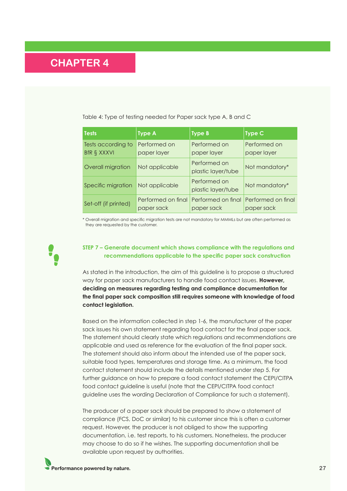|  | Table 4: Type of testing needed for Paper sack type A, B and C |  |  |
|--|----------------------------------------------------------------|--|--|
|--|----------------------------------------------------------------|--|--|

| <b>Tests</b>                             | <b>Type A</b>                    | <b>Type B</b>                      | Type $C$                         |
|------------------------------------------|----------------------------------|------------------------------------|----------------------------------|
| Tests according to<br><b>BfR § XXXVI</b> | Performed on<br>paper layer      | Performed on<br>paper layer        | Performed on<br>paper layer      |
| Overall migration                        | Not applicable                   | Performed on<br>plastic layer/tube | Not mandatory*                   |
| Specific migration                       | Not applicable                   | Performed on<br>plastic layer/tube | Not mandatory*                   |
| Set-off (if printed)                     | Performed on final<br>paper sack | Performed on final<br>paper sack   | Performed on final<br>paper sack |

\* Overall migration and specific migration tests are not mandatory for MMMLs but are often performed as they are requested by the customer.

#### **STEP 7 – Generate document which shows compliance with the regulations and recommendations applicable to the specific paper sack construction**

As stated in the introduction, the aim of this guideline is to propose a structured way for paper sack manufacturers to handle food contact issues. **However, deciding on measures regarding testing and compliance documentation for the final paper sack composition still requires someone with knowledge of food contact legislation.**

Based on the information collected in step 1-6, the manufacturer of the paper sack issues his own statement regarding food contact for the final paper sack. The statement should clearly state which regulations and recommendations are applicable and used as reference for the evaluation of the final paper sack. The statement should also inform about the intended use of the paper sack, suitable food types, temperatures and storage time. As a minimum, the food contact statement should include the details mentioned under step 5. For further guidance on how to prepare a food contact statement the CEPI/CITPA food contact guideline is useful (note that the CEPI/CITPA food contact guideline uses the wording Declaration of Compliance for such a statement).

The producer of a paper sack should be prepared to show a statement of compliance (FCS, DoC or similar) to his customer since this is often a customer request. However, the producer is not obliged to show the supporting documentation, i.e. test reports, to his customers. Nonetheless, the producer may choose to do so if he wishes. The supporting documentation shall be available upon request by authorities.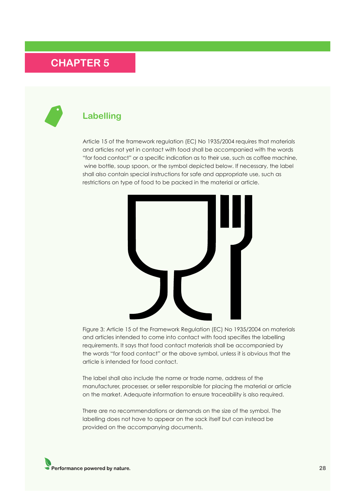### <span id="page-27-0"></span>**Labelling**

Article 15 of the framework regulation (EC) No 1935/2004 requires that materials and articles not yet in contact with food shall be accompanied with the words "for food contact" or a specific indication as to their use, such as coffee machine, wine bottle, soup spoon, or the symbol depicted below. If necessary, the label shall also contain special instructions for safe and appropriate use, such as restrictions on type of food to be packed in the material or article.



Figure 3: Article 15 of the Framework Regulation (EC) No 1935/2004 on materials and articles intended to come into contact with food specifies the labelling requirements. It says that food contact materials shall be accompanied by the words "for food contact" or the above symbol, unless it is obvious that the article is intended for food contact.

The label shall also include the name or trade name, address of the manufacturer, processer, or seller responsible for placing the material or article on the market. Adequate information to ensure traceability is also required.

There are no recommendations or demands on the size of the symbol. The labelling does not have to appear on the sack itself but can instead be provided on the accompanying documents.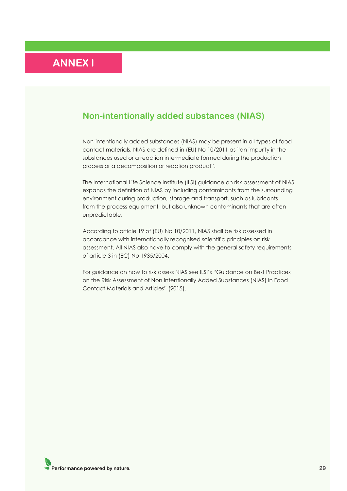### <span id="page-28-0"></span>**Non-intentionally added substances (NIAS)**

Non-intentionally added substances (NIAS) may be present in all types of food contact materials. NIAS are defined in (EU) No 10/2011 as "an impurity in the substances used or a reaction intermediate formed during the production process or a decomposition or reaction product".

The International Life Science Institute (ILSI) guidance on risk assessment of NIAS expands the definition of NIAS by including contaminants from the surrounding environment during production, storage and transport, such as lubricants from the process equipment, but also unknown contaminants that are often unpredictable.

According to article 19 of (EU) No 10/2011, NIAS shall be risk assessed in accordance with internationally recognised scientific principles on risk assessment. All NIAS also have to comply with the general safety requirements of article 3 in (EC) No 1935/2004.

For guidance on how to risk assess NIAS see ILSI's "Guidance on Best Practices on the Risk Assessment of Non Intentionally Added Substances (NIAS) in Food Contact Materials and Articles" (2015).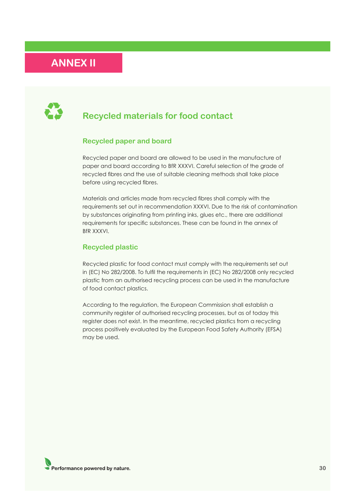### <span id="page-29-0"></span>**ANNEX II**



### **Recycled materials for food contact**

### **Recycled paper and board**

Recycled paper and board are allowed to be used in the manufacture of paper and board according to BfR XXXVI. Careful selection of the grade of recycled fibres and the use of suitable cleaning methods shall take place before using recycled fibres.

Materials and articles made from recycled fibres shall comply with the requirements set out in recommendation XXXVI. Due to the risk of contamination by substances originating from printing inks, glues etc., there are additional requirements for specific substances. These can be found in the annex of BfR XXXVI.

#### **Recycled plastic**

Recycled plastic for food contact must comply with the requirements set out in (EC) No 282/2008. To fulfil the requirements in (EC) No 282/2008 only recycled plastic from an authorised recycling process can be used in the manufacture of food contact plastics.

According to the regulation, the European Commission shall establish a community register of authorised recycling processes, but as of today this register does not exist. In the meantime, recycled plastics from a recycling process positively evaluated by the European Food Safety Authority (EFSA) may be used.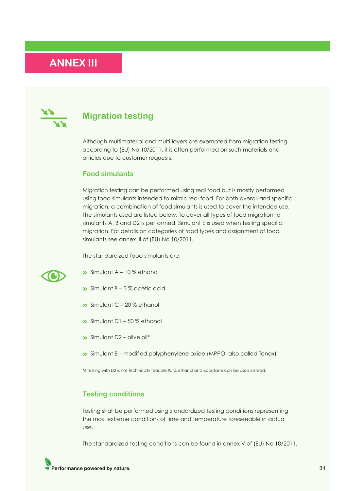## <span id="page-30-0"></span>**ANNEX III**



### **Migration testing**

Although multimaterial and multi-layers are exempted from migration testing according to (EU) No 10/2011, it is often performed on such materials and articles due to customer requests.

#### **Food simulants**

Migration testing can be performed using real food but is mostly performed using food simulants intended to mimic real food. For both overall and specific migration, a combination of food simulants is used to cover the intended use. The simulants used are listed below. To cover all types of food migration to simulants A, B and D2 is performed. Simulant E is used when testing specific migration. For details on categories of food types and assignment of food simulants see annex III of (EU) No 10/2011.

The standardized food simulants are:



- $\sum$  Simulant A 10 % ethanol
- $\sum$  Simulant B 3 % acetic acid
- $\rightarrow$  Simulant C 20 % ethanol
- $\gg$  Simulant D1 50 % ethanol
- $\sum$  Simulant D2 olive oil\*
- Simulant E modified polyphenylene oxide (MPPO, also called Tenax)

\*if testing with D2 is not technically feasible 95 % ethanol and isooctane can be used instead.

#### **Testing conditions**

Testing shall be performed using standardized testing conditions representing the most extreme conditions of time and temperature foreseeable in actual use.

The standardized testing conditions can be found in annex V of (EU) No 10/2011.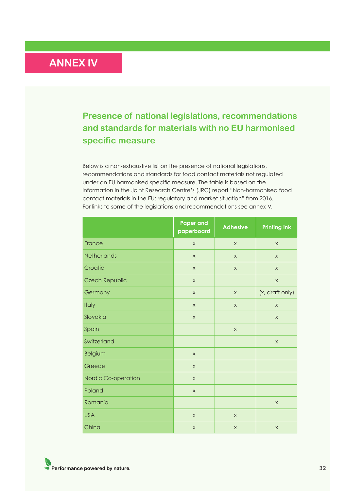## <span id="page-31-0"></span>**ANNEX IV**

### **Presence of national legislations, recommendations and standards for materials with no EU harmonised specific measure**

Below is a non-exhaustive list on the presence of national legislations, recommendations and standards for food contact materials not regulated under an EU harmonised specific measure. The table is based on the information in the Joint Research Centre's (JRC) report "Non-harmonised food contact materials in the EU: regulatory and market situation" from 2016. For links to some of the legislations and recommendations see annex V.

|                     | <b>Paper and</b><br>paperboard | <b>Adhesive</b>           | <b>Printing ink</b> |
|---------------------|--------------------------------|---------------------------|---------------------|
| France              | $\boldsymbol{\mathsf{X}}$      | $\boldsymbol{\mathsf{X}}$ | $\mathsf X$         |
| Netherlands         | $\mathsf X$                    | $\mathsf X$               | $\mathsf X$         |
| Croatia             | $\mathsf X$                    | $\times$                  | $\mathsf X$         |
| Czech Republic      | $\mathsf X$                    |                           | $\mathsf X$         |
| Germany             | $\times$                       | $\times$                  | (x, draft only)     |
| <b>Italy</b>        | $\times$                       | $\times$                  | $\times$            |
| Slovakia            | $\times$                       |                           | $\mathsf X$         |
| Spain               |                                | $\mathsf X$               |                     |
| Switzerland         |                                |                           | $\mathsf X$         |
| <b>Belgium</b>      | $\mathsf X$                    |                           |                     |
| Greece              | $\mathsf X$                    |                           |                     |
| Nordic Co-operation | $\times$                       |                           |                     |
| Poland              | $\mathsf X$                    |                           |                     |
| Romania             |                                |                           | $\mathsf X$         |
| <b>USA</b>          | $\mathsf X$                    | $\mathsf X$               |                     |
| China               | $\mathsf X$                    | $\mathsf X$               | $\mathsf X$         |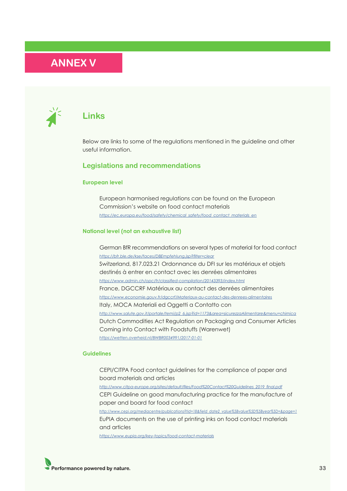## <span id="page-32-0"></span>**ANNEX V**



### **Links**

Below are links to some of the regulations mentioned in the guideline and other useful information.

### **Legislations and recommendations**

#### **European level**

European harmonised regulations can be found on the European Commission's website on food contact materials  *[https://ec.europa.eu/food/safety/chemical\\_safety/food\\_contact\\_materials\\_en](https://ec.europa.eu/food/safety/chemical_safety/food_contact_materials_en)*

#### **National level (not an exhaustive list)**

German BfR recommendations on several types of material for food contact  *<https://bfr.ble.de/kse/faces/DBEmpfehlung.jsp?filter=clear>* Switzerland, 817.023.21 Ordonnance du DFI sur les matériaux et objets destinés à entrer en contact avec les denrées alimentaires  *<https://www.admin.ch/opc/fr/classified-compilation/20143393/index.html>* France, DGCCRF Matériaux au contact des denrées alimentaires  *<https://www.economie.gouv.fr/dgccrf/Materiaux-au-contact-des-denrees-alimentaires>* Italy, MOCA Materiali ed Oggetti a Contatto con  *[http://www.salute.gov.it/portale/temi/p2\\_6.jsp?id=1173&area=sicurezzaAlimentare&menu=chimica](http://www.salute.gov.it/portale/temi/p2_6.jsp?id=1173&area=sicurezzaAlimentare&menu=chimica)* Dutch Commodities Act Regulation on Packaging and Consumer Articles Coming into Contact with Foodstuffs (Warenwet)  *<https://wetten.overheid.nl/BWBR0034991/2017-01-01>*

#### **Guidelines**

CEPI/CITPA Food contact guidelines for the compliance of paper and board materials and articles  *[http://www.citpa-europe.org/sites/default/files/Food%20Contact%20Guidelines\\_2019\\_final.pdf](http://www.citpa-europe.org/sites/default/files/Food%20Contact%20Guidelines_2019_final.pdf)* CEPI Guideline on good manufacturing practice for the manufacture of paper and board for food contact  *[http://www.cepi.org/mediacentre/publications?tid=18&field\\_date2\\_value%5Bvalue%5D%5Byear%5D=&page=1](http://www.cepi.org/mediacentre/publications?tid=18&field_date2_value%5Bvalue%5D%5Byear%5D=&page=1)* EuPIA documents on the use of printing inks on food contact materials and articles  *<https://www.eupia.org/key-topics/food-contact-materials>*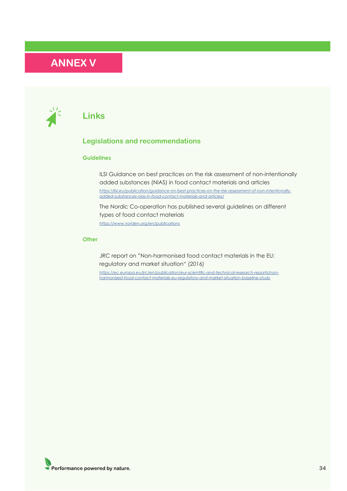## **ANNEX V**



### **Links**

### **Legislations and recommendations**

#### **Guidelines**

ILSI Guidance on best practices on the risk assessment of non-intentionally added substances (NIAS) in food contact materials and articles  *[https://ilsi.eu/publication/guidance-on-best-practices-on-the-risk-assessment-of-non-intentionally](https://ilsi.eu/publication/guidance-on-best-practices-on-the-risk-assessment-of-non-intentionally-a)[added-substances-nias-in-food-contact-materials-and-articles/](https://ilsi.eu/publication/guidance-on-best-practices-on-the-risk-assessment-of-non-intentionally-a)*

The Nordic Co-operation has published several guidelines on different types of food contact materials

 *<https://www.norden.org/en/publications>*

#### **Other**

JRC report on "Non-harmonised food contact materials in the EU: regulatory and market situation" (2016)

 *[https://ec.europa.eu/jrc/en/publication/eur-scientific-and-technical-research-reports/non](https://ec.europa.eu/jrc/en/publication/eur-scientific-and-technical-research-reports/non- harmonised-food-contact-materials-eu-regulatory-and-market-situation-baseline-study)[harmonised-food-contact-materials-eu-regulatory-and-market-situation-baseline-study](https://ec.europa.eu/jrc/en/publication/eur-scientific-and-technical-research-reports/non- harmonised-food-contact-materials-eu-regulatory-and-market-situation-baseline-study)*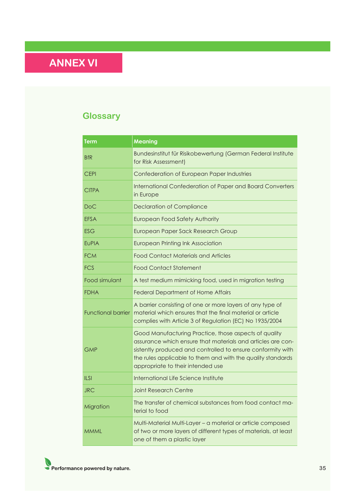# <span id="page-34-0"></span>**ANNEX VI**

## **Glossary**

| <b>Term</b>        | <b>Meaning</b>                                                                                                                                                                                                                                                                          |
|--------------------|-----------------------------------------------------------------------------------------------------------------------------------------------------------------------------------------------------------------------------------------------------------------------------------------|
| <b>BfR</b>         | Bundesinstitut für Risikobewertung (German Federal Institute<br>for Risk Assessment)                                                                                                                                                                                                    |
| <b>CEPI</b>        | Confederation of European Paper Industries                                                                                                                                                                                                                                              |
| <b>CITPA</b>       | International Confederation of Paper and Board Converters<br>in Europe                                                                                                                                                                                                                  |
| DoC                | <b>Declaration of Compliance</b>                                                                                                                                                                                                                                                        |
| <b>EFSA</b>        | European Food Safety Authority                                                                                                                                                                                                                                                          |
| ESG                | European Paper Sack Research Group                                                                                                                                                                                                                                                      |
| <b>EUPIA</b>       | <b>European Printing Ink Association</b>                                                                                                                                                                                                                                                |
| <b>FCM</b>         | <b>Food Contact Materials and Articles</b>                                                                                                                                                                                                                                              |
| <b>FCS</b>         | <b>Food Contact Statement</b>                                                                                                                                                                                                                                                           |
| Food simulant      | A test medium mimicking food, used in migration testing                                                                                                                                                                                                                                 |
| FDHA               | <b>Federal Department of Home Affairs</b>                                                                                                                                                                                                                                               |
| Functional barrier | A barrier consisting of one or more layers of any type of<br>material which ensures that the final material or article<br>complies with Article 3 of Regulation (EC) No 1935/2004                                                                                                       |
| <b>GMP</b>         | Good Manufacturing Practice, those aspects of quality<br>assurance which ensure that materials and articles are con-<br>sistently produced and controlled to ensure conformity with<br>the rules applicable to them and with the quality standards<br>appropriate to their intended use |
| <b>ILSI</b>        | International Life Science Institute                                                                                                                                                                                                                                                    |
| <b>JRC</b>         | <b>Joint Research Centre</b>                                                                                                                                                                                                                                                            |
| Migration          | The transfer of chemical substances from food contact ma-<br>terial to food                                                                                                                                                                                                             |
| <b>MMML</b>        | Multi-Material Multi-Layer - a material or article composed<br>of two or more layers of different types of materials, at least<br>one of them a plastic layer                                                                                                                           |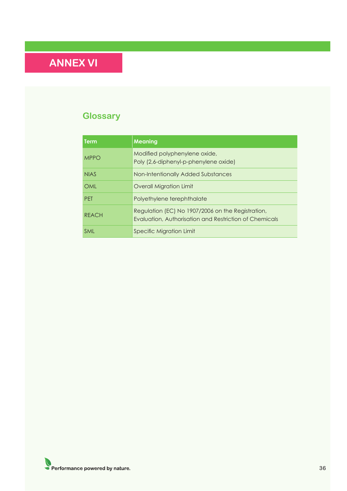# **ANNEX VI**

## **Glossary**

| Term         | <b>Meaning</b>                                                                                              |
|--------------|-------------------------------------------------------------------------------------------------------------|
| <b>MPPO</b>  | Modified polyphenylene oxide,<br>Poly (2,6-diphenyl-p-phenylene oxide)                                      |
| <b>NIAS</b>  | Non-Intentionally Added Substances                                                                          |
| OML          | <b>Overall Migration Limit</b>                                                                              |
| <b>PFT</b>   | Polyethylene terephthalate                                                                                  |
| <b>REACH</b> | Regulation (EC) No 1907/2006 on the Registration,<br>Evaluation, Authorisation and Restriction of Chemicals |
| <b>SML</b>   | Specific Migration Limit                                                                                    |